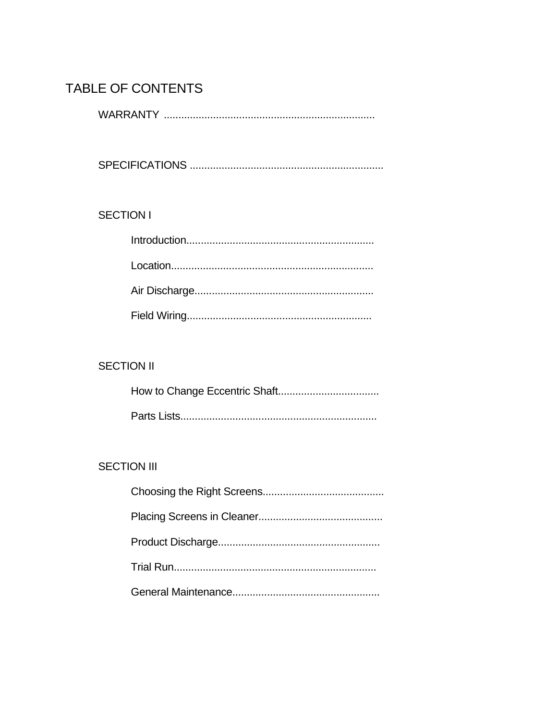# TABLE OF CONTENTS

### **SECTION I**

## **SECTION II**

## **SECTION III**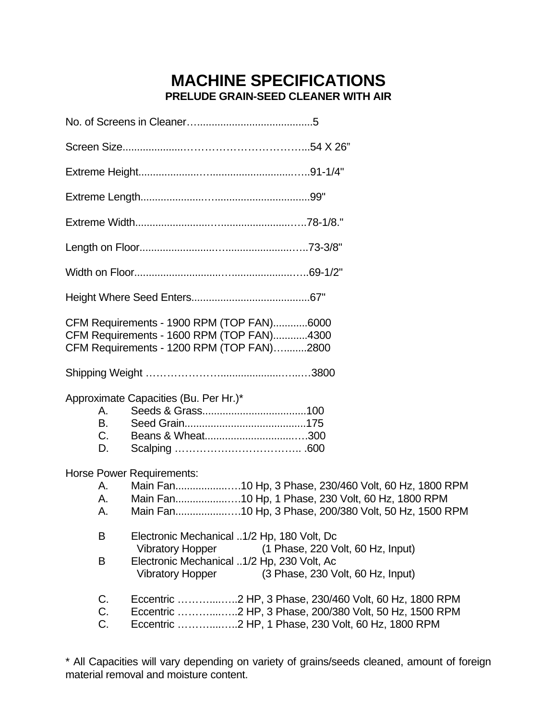# **MACHINE SPECIFICATIONS PRELUDE GRAIN-SEED CLEANER WITH AIR**

|                       | CFM Requirements - 1900 RPM (TOP FAN)6000<br>CFM Requirements - 1600 RPM (TOP FAN)4300<br>CFM Requirements - 1200 RPM (TOP FAN)2800                                                                                      |
|-----------------------|--------------------------------------------------------------------------------------------------------------------------------------------------------------------------------------------------------------------------|
|                       |                                                                                                                                                                                                                          |
| <b>B.</b><br>C.<br>D. | Approximate Capacities (Bu. Per Hr.)*                                                                                                                                                                                    |
| А.                    | <b>Horse Power Requirements:</b><br>Main Fan10 Hp, 3 Phase, 230/460 Volt, 60 Hz, 1800 RPM<br>Main Fan10 Hp, 1 Phase, 230 Volt, 60 Hz, 1800 RPM<br>Main Fan10 Hp, 3 Phase, 200/380 Volt, 50 Hz, 1500 RPM                  |
| B<br>B                | Electronic Mechanical 1/2 Hp, 180 Volt, Dc<br><b>Vibratory Hopper</b><br>(1 Phase, 220 Volt, 60 Hz, Input)<br>Electronic Mechanical 1/2 Hp, 230 Volt, Ac<br>(3 Phase, 230 Volt, 60 Hz, Input)<br><b>Vibratory Hopper</b> |
| C.<br>C.<br>C.        |                                                                                                                                                                                                                          |

\* All Capacities will vary depending on variety of grains/seeds cleaned, amount of foreign material removal and moisture content.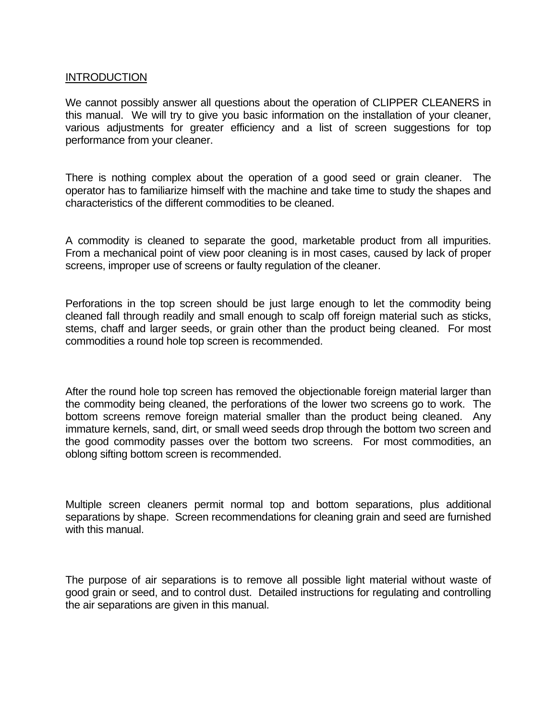### INTRODUCTION

We cannot possibly answer all questions about the operation of CLIPPER CLEANERS in this manual. We will try to give you basic information on the installation of your cleaner, various adjustments for greater efficiency and a list of screen suggestions for top performance from your cleaner.

There is nothing complex about the operation of a good seed or grain cleaner. The operator has to familiarize himself with the machine and take time to study the shapes and characteristics of the different commodities to be cleaned.

A commodity is cleaned to separate the good, marketable product from all impurities. From a mechanical point of view poor cleaning is in most cases, caused by lack of proper screens, improper use of screens or faulty regulation of the cleaner.

Perforations in the top screen should be just large enough to let the commodity being cleaned fall through readily and small enough to scalp off foreign material such as sticks, stems, chaff and larger seeds, or grain other than the product being cleaned. For most commodities a round hole top screen is recommended.

After the round hole top screen has removed the objectionable foreign material larger than the commodity being cleaned, the perforations of the lower two screens go to work. The bottom screens remove foreign material smaller than the product being cleaned. Any immature kernels, sand, dirt, or small weed seeds drop through the bottom two screen and the good commodity passes over the bottom two screens. For most commodities, an oblong sifting bottom screen is recommended.

Multiple screen cleaners permit normal top and bottom separations, plus additional separations by shape. Screen recommendations for cleaning grain and seed are furnished with this manual.

The purpose of air separations is to remove all possible light material without waste of good grain or seed, and to control dust. Detailed instructions for regulating and controlling the air separations are given in this manual.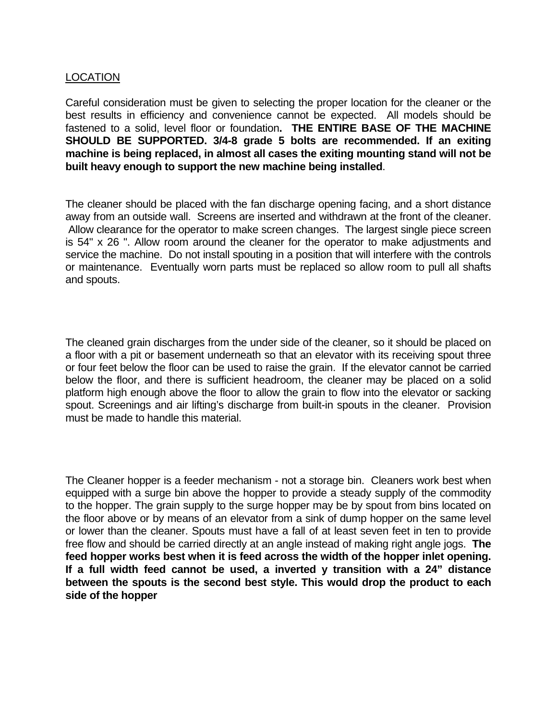### LOCATION

Careful consideration must be given to selecting the proper location for the cleaner or the best results in efficiency and convenience cannot be expected. All models should be fastened to a solid, level floor or foundation**. THE ENTIRE BASE OF THE MACHINE SHOULD BE SUPPORTED. 3/4-8 grade 5 bolts are recommended. If an exiting machine is being replaced, in almost all cases the exiting mounting stand will not be built heavy enough to support the new machine being installed**.

The cleaner should be placed with the fan discharge opening facing, and a short distance away from an outside wall. Screens are inserted and withdrawn at the front of the cleaner. Allow clearance for the operator to make screen changes. The largest single piece screen is 54" x 26 ". Allow room around the cleaner for the operator to make adjustments and service the machine. Do not install spouting in a position that will interfere with the controls or maintenance. Eventually worn parts must be replaced so allow room to pull all shafts and spouts.

The cleaned grain discharges from the under side of the cleaner, so it should be placed on a floor with a pit or basement underneath so that an elevator with its receiving spout three or four feet below the floor can be used to raise the grain. If the elevator cannot be carried below the floor, and there is sufficient headroom, the cleaner may be placed on a solid platform high enough above the floor to allow the grain to flow into the elevator or sacking spout. Screenings and air lifting's discharge from built-in spouts in the cleaner. Provision must be made to handle this material.

The Cleaner hopper is a feeder mechanism - not a storage bin. Cleaners work best when equipped with a surge bin above the hopper to provide a steady supply of the commodity to the hopper. The grain supply to the surge hopper may be by spout from bins located on the floor above or by means of an elevator from a sink of dump hopper on the same level or lower than the cleaner. Spouts must have a fall of at least seven feet in ten to provide free flow and should be carried directly at an angle instead of making right angle jogs. **The feed hopper works best when it is feed across the width of the hopper inlet opening. If a full width feed cannot be used, a inverted y transition with a 24" distance between the spouts is the second best style. This would drop the product to each side of the hopper**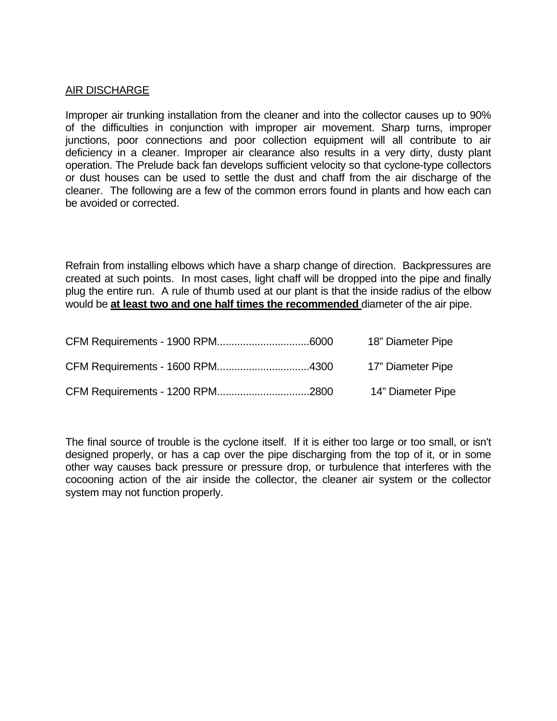### AIR DISCHARGE

Improper air trunking installation from the cleaner and into the collector causes up to 90% of the difficulties in conjunction with improper air movement. Sharp turns, improper junctions, poor connections and poor collection equipment will all contribute to air deficiency in a cleaner. Improper air clearance also results in a very dirty, dusty plant operation. The Prelude back fan develops sufficient velocity so that cyclone-type collectors or dust houses can be used to settle the dust and chaff from the air discharge of the cleaner. The following are a few of the common errors found in plants and how each can be avoided or corrected.

Refrain from installing elbows which have a sharp change of direction. Backpressures are created at such points. In most cases, light chaff will be dropped into the pipe and finally plug the entire run. A rule of thumb used at our plant is that the inside radius of the elbow would be **at least two and one half times the recommended** diameter of the air pipe.

|  | 18" Diameter Pipe |
|--|-------------------|
|  | 17" Diameter Pipe |
|  | 14" Diameter Pipe |

The final source of trouble is the cyclone itself. If it is either too large or too small, or isn't designed properly, or has a cap over the pipe discharging from the top of it, or in some other way causes back pressure or pressure drop, or turbulence that interferes with the cocooning action of the air inside the collector, the cleaner air system or the collector system may not function properly.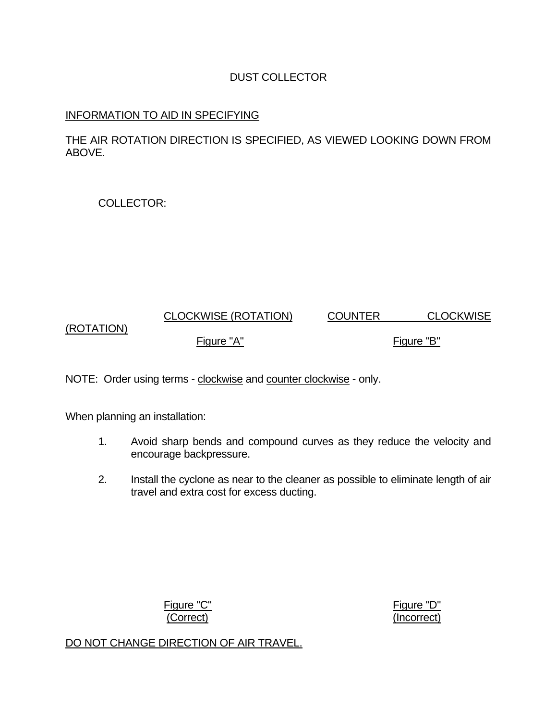### DUST COLLECTOR

### INFORMATION TO AID IN SPECIFYING

THE AIR ROTATION DIRECTION IS SPECIFIED, AS VIEWED LOOKING DOWN FROM ABOVE.

COLLECTOR:

### CLOCKWISE (ROTATION) COUNTER CLOCKWISE (ROTATION) Figure "A" Figure "B"

NOTE: Order using terms - clockwise and counter clockwise - only.

When planning an installation:

- 1. Avoid sharp bends and compound curves as they reduce the velocity and encourage backpressure.
- 2. Install the cyclone as near to the cleaner as possible to eliminate length of air travel and extra cost for excess ducting.

Figure "C" Figure "D"

(Correct) (Incorrect)

DO NOT CHANGE DIRECTION OF AIR TRAVEL.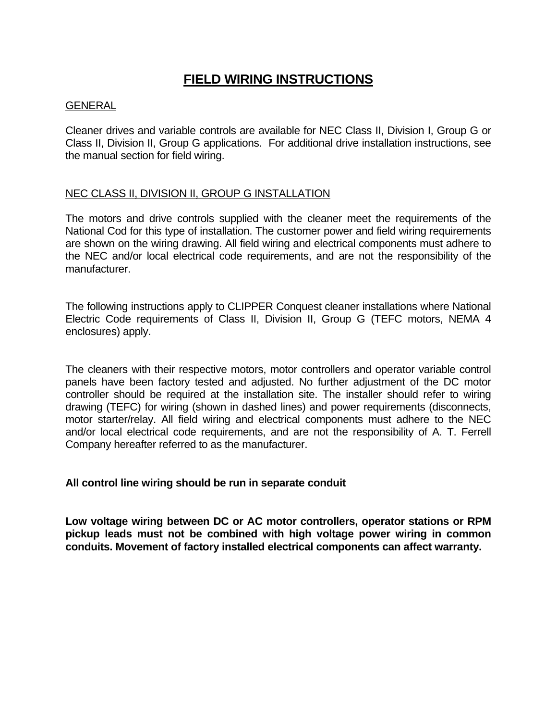# **FIELD WIRING INSTRUCTIONS**

### **GENERAL**

Cleaner drives and variable controls are available for NEC Class II, Division I, Group G or Class II, Division II, Group G applications. For additional drive installation instructions, see the manual section for field wiring.

### NEC CLASS II, DIVISION II, GROUP G INSTALLATION

The motors and drive controls supplied with the cleaner meet the requirements of the National Cod for this type of installation. The customer power and field wiring requirements are shown on the wiring drawing. All field wiring and electrical components must adhere to the NEC and/or local electrical code requirements, and are not the responsibility of the manufacturer.

The following instructions apply to CLIPPER Conquest cleaner installations where National Electric Code requirements of Class II, Division II, Group G (TEFC motors, NEMA 4 enclosures) apply.

The cleaners with their respective motors, motor controllers and operator variable control panels have been factory tested and adjusted. No further adjustment of the DC motor controller should be required at the installation site. The installer should refer to wiring drawing (TEFC) for wiring (shown in dashed lines) and power requirements (disconnects, motor starter/relay. All field wiring and electrical components must adhere to the NEC and/or local electrical code requirements, and are not the responsibility of A. T. Ferrell Company hereafter referred to as the manufacturer.

### **All control line wiring should be run in separate conduit**

**Low voltage wiring between DC or AC motor controllers, operator stations or RPM pickup leads must not be combined with high voltage power wiring in common conduits. Movement of factory installed electrical components can affect warranty.**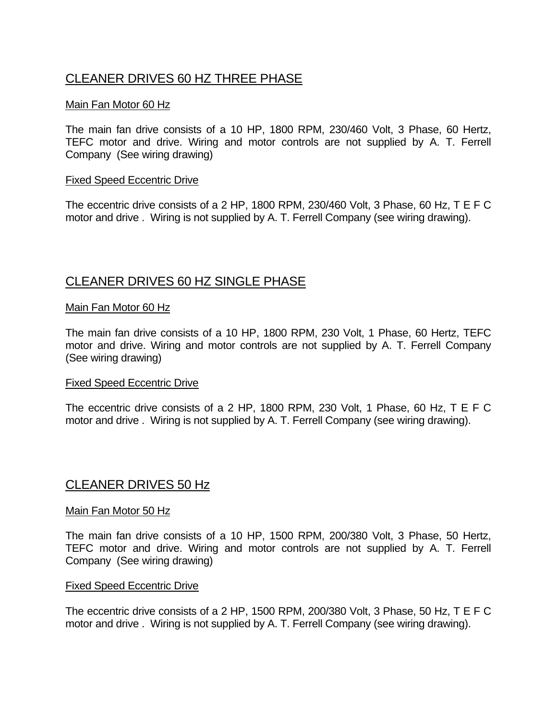# CLEANER DRIVES 60 HZ THREE PHASE

### Main Fan Motor 60 Hz

The main fan drive consists of a 10 HP, 1800 RPM, 230/460 Volt, 3 Phase, 60 Hertz, TEFC motor and drive. Wiring and motor controls are not supplied by A. T. Ferrell Company (See wiring drawing)

### Fixed Speed Eccentric Drive

The eccentric drive consists of a 2 HP, 1800 RPM, 230/460 Volt, 3 Phase, 60 Hz, T E F C motor and drive . Wiring is not supplied by A. T. Ferrell Company (see wiring drawing).

## CLEANER DRIVES 60 HZ SINGLE PHASE

### Main Fan Motor 60 Hz

The main fan drive consists of a 10 HP, 1800 RPM, 230 Volt, 1 Phase, 60 Hertz, TEFC motor and drive. Wiring and motor controls are not supplied by A. T. Ferrell Company (See wiring drawing)

### Fixed Speed Eccentric Drive

The eccentric drive consists of a 2 HP, 1800 RPM, 230 Volt, 1 Phase, 60 Hz, T E F C motor and drive . Wiring is not supplied by A. T. Ferrell Company (see wiring drawing).

### CLEANER DRIVES 50 Hz

### Main Fan Motor 50 Hz

The main fan drive consists of a 10 HP, 1500 RPM, 200/380 Volt, 3 Phase, 50 Hertz, TEFC motor and drive. Wiring and motor controls are not supplied by A. T. Ferrell Company (See wiring drawing)

### Fixed Speed Eccentric Drive

The eccentric drive consists of a 2 HP, 1500 RPM, 200/380 Volt, 3 Phase, 50 Hz, T E F C motor and drive . Wiring is not supplied by A. T. Ferrell Company (see wiring drawing).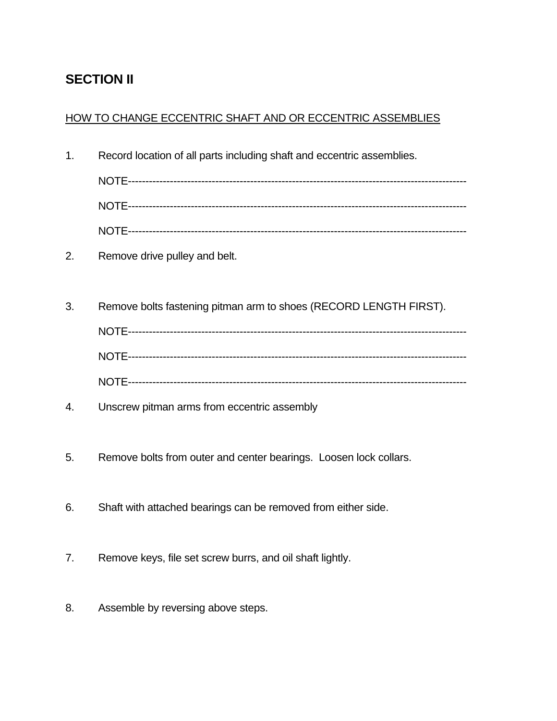# **SECTION II**

## HOW TO CHANGE ECCENTRIC SHAFT AND OR ECCENTRIC ASSEMBLIES

1. Record location of all parts including shaft and eccentric assemblies.

 NOTE------------------------------------------------------------------------------------------------- NOTE-------------------------------------------------------------------------------------------------

- NOTE-------------------------------------------------------------------------------------------------
- 2. Remove drive pulley and belt.
- 3. Remove bolts fastening pitman arm to shoes (RECORD LENGTH FIRST).

- 4. Unscrew pitman arms from eccentric assembly
- 5. Remove bolts from outer and center bearings. Loosen lock collars.
- 6. Shaft with attached bearings can be removed from either side.
- 7. Remove keys, file set screw burrs, and oil shaft lightly.
- 8. Assemble by reversing above steps.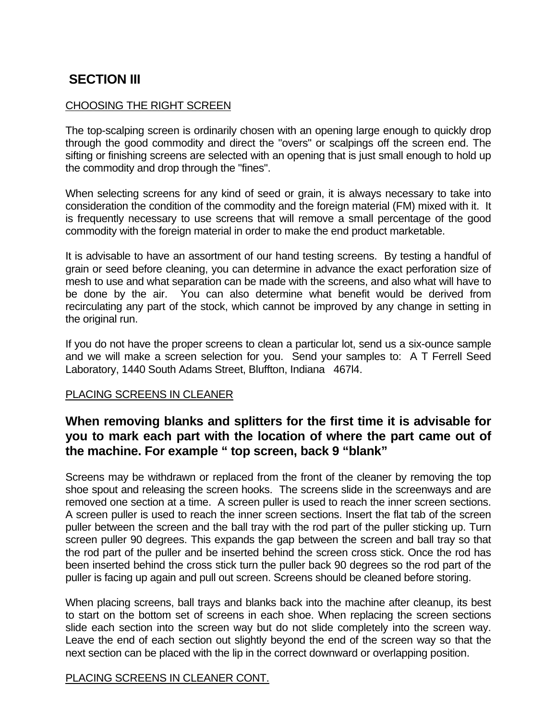# **SECTION III**

### CHOOSING THE RIGHT SCREEN

The top-scalping screen is ordinarily chosen with an opening large enough to quickly drop through the good commodity and direct the "overs" or scalpings off the screen end. The sifting or finishing screens are selected with an opening that is just small enough to hold up the commodity and drop through the "fines".

When selecting screens for any kind of seed or grain, it is always necessary to take into consideration the condition of the commodity and the foreign material (FM) mixed with it. It is frequently necessary to use screens that will remove a small percentage of the good commodity with the foreign material in order to make the end product marketable.

It is advisable to have an assortment of our hand testing screens. By testing a handful of grain or seed before cleaning, you can determine in advance the exact perforation size of mesh to use and what separation can be made with the screens, and also what will have to be done by the air. You can also determine what benefit would be derived from recirculating any part of the stock, which cannot be improved by any change in setting in the original run.

If you do not have the proper screens to clean a particular lot, send us a six-ounce sample and we will make a screen selection for you. Send your samples to: A T Ferrell Seed Laboratory, 1440 South Adams Street, Bluffton, Indiana 467l4.

### PLACING SCREENS IN CLEANER

# **When removing blanks and splitters for the first time it is advisable for you to mark each part with the location of where the part came out of the machine. For example " top screen, back 9 "blank"**

Screens may be withdrawn or replaced from the front of the cleaner by removing the top shoe spout and releasing the screen hooks. The screens slide in the screenways and are removed one section at a time. A screen puller is used to reach the inner screen sections. A screen puller is used to reach the inner screen sections. Insert the flat tab of the screen puller between the screen and the ball tray with the rod part of the puller sticking up. Turn screen puller 90 degrees. This expands the gap between the screen and ball tray so that the rod part of the puller and be inserted behind the screen cross stick. Once the rod has been inserted behind the cross stick turn the puller back 90 degrees so the rod part of the puller is facing up again and pull out screen. Screens should be cleaned before storing.

When placing screens, ball trays and blanks back into the machine after cleanup, its best to start on the bottom set of screens in each shoe. When replacing the screen sections slide each section into the screen way but do not slide completely into the screen way. Leave the end of each section out slightly beyond the end of the screen way so that the next section can be placed with the lip in the correct downward or overlapping position.

### PLACING SCREENS IN CLEANER CONT.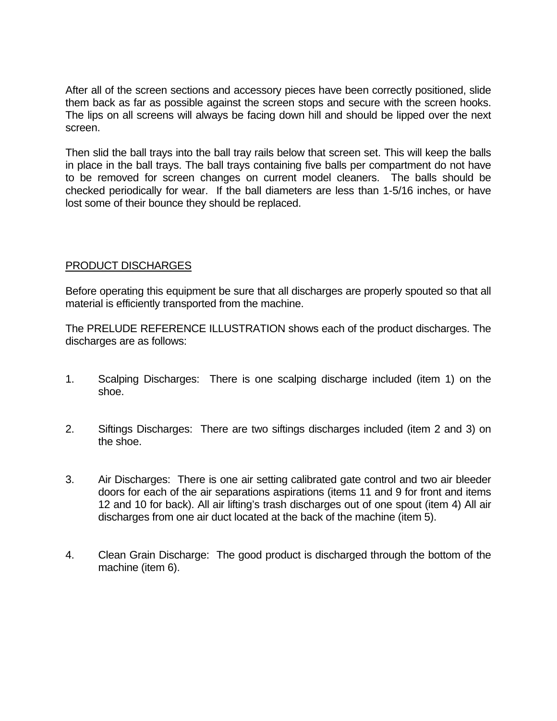After all of the screen sections and accessory pieces have been correctly positioned, slide them back as far as possible against the screen stops and secure with the screen hooks. The lips on all screens will always be facing down hill and should be lipped over the next screen.

Then slid the ball trays into the ball tray rails below that screen set. This will keep the balls in place in the ball trays. The ball trays containing five balls per compartment do not have to be removed for screen changes on current model cleaners. The balls should be checked periodically for wear. If the ball diameters are less than 1-5/16 inches, or have lost some of their bounce they should be replaced.

### PRODUCT DISCHARGES

Before operating this equipment be sure that all discharges are properly spouted so that all material is efficiently transported from the machine.

The PRELUDE REFERENCE ILLUSTRATION shows each of the product discharges. The discharges are as follows:

- 1. Scalping Discharges: There is one scalping discharge included (item 1) on the shoe.
- 2. Siftings Discharges: There are two siftings discharges included (item 2 and 3) on the shoe.
- 3. Air Discharges: There is one air setting calibrated gate control and two air bleeder doors for each of the air separations aspirations (items 11 and 9 for front and items 12 and 10 for back). All air lifting's trash discharges out of one spout (item 4) All air discharges from one air duct located at the back of the machine (item 5).
- 4. Clean Grain Discharge: The good product is discharged through the bottom of the machine (item 6).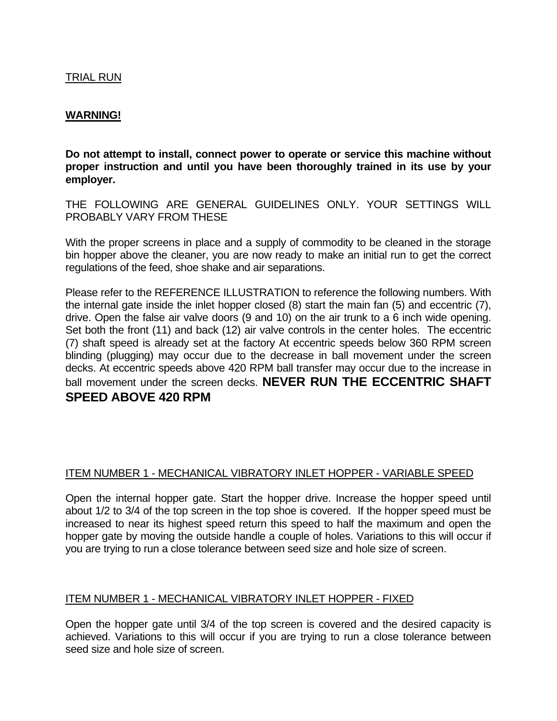### TRIAL RUN

### **WARNING!**

**Do not attempt to install, connect power to operate or service this machine without proper instruction and until you have been thoroughly trained in its use by your employer.** 

THE FOLLOWING ARE GENERAL GUIDELINES ONLY. YOUR SETTINGS WILL PROBABLY VARY FROM THESE

With the proper screens in place and a supply of commodity to be cleaned in the storage bin hopper above the cleaner, you are now ready to make an initial run to get the correct regulations of the feed, shoe shake and air separations.

Please refer to the REFERENCE ILLUSTRATION to reference the following numbers. With the internal gate inside the inlet hopper closed (8) start the main fan (5) and eccentric (7), drive. Open the false air valve doors (9 and 10) on the air trunk to a 6 inch wide opening. Set both the front (11) and back (12) air valve controls in the center holes. The eccentric (7) shaft speed is already set at the factory At eccentric speeds below 360 RPM screen blinding (plugging) may occur due to the decrease in ball movement under the screen decks. At eccentric speeds above 420 RPM ball transfer may occur due to the increase in ball movement under the screen decks. **NEVER RUN THE ECCENTRIC SHAFT SPEED ABOVE 420 RPM** 

### ITEM NUMBER 1 - MECHANICAL VIBRATORY INLET HOPPER - VARIABLE SPEED

Open the internal hopper gate. Start the hopper drive. Increase the hopper speed until about 1/2 to 3/4 of the top screen in the top shoe is covered. If the hopper speed must be increased to near its highest speed return this speed to half the maximum and open the hopper gate by moving the outside handle a couple of holes. Variations to this will occur if you are trying to run a close tolerance between seed size and hole size of screen.

### ITEM NUMBER 1 - MECHANICAL VIBRATORY INLET HOPPER - FIXED

Open the hopper gate until 3/4 of the top screen is covered and the desired capacity is achieved. Variations to this will occur if you are trying to run a close tolerance between seed size and hole size of screen.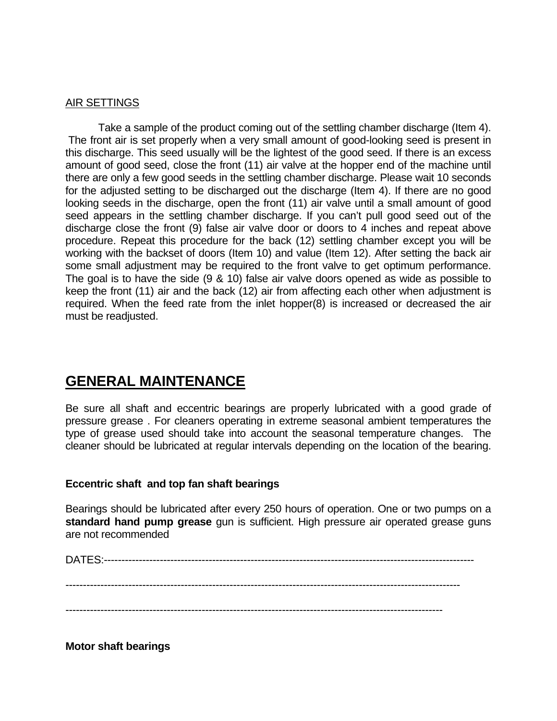#### AIR SETTINGS

 Take a sample of the product coming out of the settling chamber discharge (Item 4). The front air is set properly when a very small amount of good-looking seed is present in this discharge. This seed usually will be the lightest of the good seed. If there is an excess amount of good seed, close the front (11) air valve at the hopper end of the machine until there are only a few good seeds in the settling chamber discharge. Please wait 10 seconds for the adjusted setting to be discharged out the discharge (Item 4). If there are no good looking seeds in the discharge, open the front (11) air valve until a small amount of good seed appears in the settling chamber discharge. If you can't pull good seed out of the discharge close the front (9) false air valve door or doors to 4 inches and repeat above procedure. Repeat this procedure for the back (12) settling chamber except you will be working with the backset of doors (Item 10) and value (Item 12). After setting the back air some small adjustment may be required to the front valve to get optimum performance. The goal is to have the side (9 & 10) false air valve doors opened as wide as possible to keep the front (11) air and the back (12) air from affecting each other when adjustment is required. When the feed rate from the inlet hopper(8) is increased or decreased the air must be readjusted.

# **GENERAL MAINTENANCE**

Be sure all shaft and eccentric bearings are properly lubricated with a good grade of pressure grease . For cleaners operating in extreme seasonal ambient temperatures the type of grease used should take into account the seasonal temperature changes. The cleaner should be lubricated at regular intervals depending on the location of the bearing.

### **Eccentric shaft and top fan shaft bearings**

Bearings should be lubricated after every 250 hours of operation. One or two pumps on a **standard hand pump grease** gun is sufficient. High pressure air operated grease guns are not recommended

DATES:----------------------------------------------------------------------------------------------------------

-----------------------------------------------------------------------------------------------------------------

------------------------------------------------------------------------------------------------------------

**Motor shaft bearings**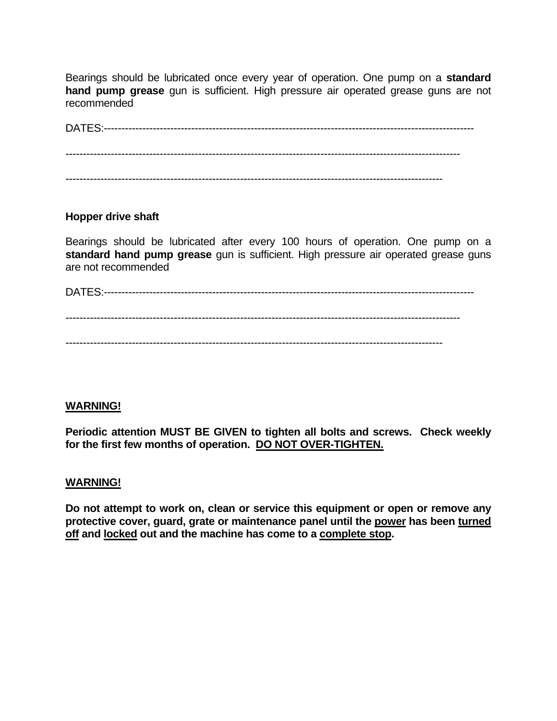Bearings should be lubricated once every year of operation. One pump on a **standard hand pump grease** gun is sufficient. High pressure air operated grease guns are not recommended

DATES:---------------------------------------------------------------------------------------------------------- ----------------------------------------------------------------------------------------------------------------- ------------------------------------------------------------------------------------------------------------

### **Hopper drive shaft**

Bearings should be lubricated after every 100 hours of operation. One pump on a **standard hand pump grease** gun is sufficient. High pressure air operated grease guns are not recommended

DATES:----------------------------------------------------------------------------------------------------------

-----------------------------------------------------------------------------------------------------------------

------------------------------------------------------------------------------------------------------------

### **WARNING!**

**Periodic attention MUST BE GIVEN to tighten all bolts and screws. Check weekly for the first few months of operation. DO NOT OVER-TIGHTEN.**

### **WARNING!**

**Do not attempt to work on, clean or service this equipment or open or remove any protective cover, guard, grate or maintenance panel until the power has been turned off and locked out and the machine has come to a complete stop.**